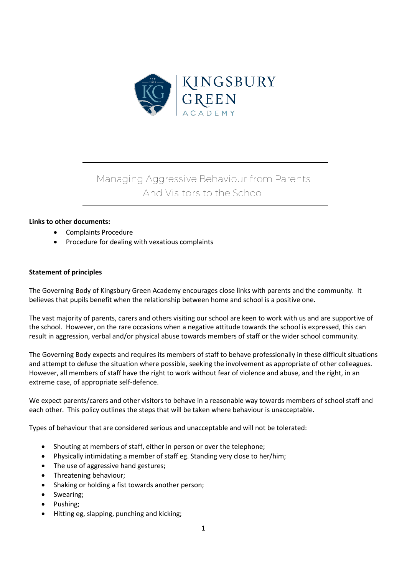

# Managing Aggressive Behaviour from Parents And Visitors to the School

### **Links to other documents:**

- Complaints Procedure
- Procedure for dealing with vexatious complaints

### **Statement of principles**

The Governing Body of Kingsbury Green Academy encourages close links with parents and the community. It believes that pupils benefit when the relationship between home and school is a positive one.

The vast majority of parents, carers and others visiting our school are keen to work with us and are supportive of the school. However, on the rare occasions when a negative attitude towards the school is expressed, this can result in aggression, verbal and/or physical abuse towards members of staff or the wider school community.

The Governing Body expects and requires its members of staff to behave professionally in these difficult situations and attempt to defuse the situation where possible, seeking the involvement as appropriate of other colleagues. However, all members of staff have the right to work without fear of violence and abuse, and the right, in an extreme case, of appropriate self-defence.

We expect parents/carers and other visitors to behave in a reasonable way towards members of school staff and each other. This policy outlines the steps that will be taken where behaviour is unacceptable.

Types of behaviour that are considered serious and unacceptable and will not be tolerated:

- Shouting at members of staff, either in person or over the telephone;
- Physically intimidating a member of staff eg. Standing very close to her/him;
- The use of aggressive hand gestures;
- Threatening behaviour;
- Shaking or holding a fist towards another person;
- Swearing;
- Pushing;
- Hitting eg, slapping, punching and kicking;